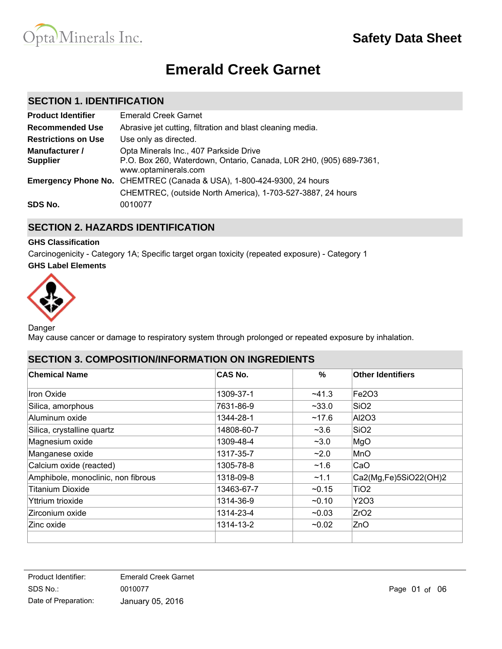

# **Emerald Creek Garnet**

### **SECTION 1. IDENTIFICATION**

| <b>Product Identifier</b>         | <b>Emerald Creek Garnet</b>                                                                                                          |
|-----------------------------------|--------------------------------------------------------------------------------------------------------------------------------------|
| <b>Recommended Use</b>            | Abrasive jet cutting, filtration and blast cleaning media.                                                                           |
| <b>Restrictions on Use</b>        | Use only as directed.                                                                                                                |
| Manufacturer /<br><b>Supplier</b> | Opta Minerals Inc., 407 Parkside Drive<br>P.O. Box 260, Waterdown, Ontario, Canada, L0R 2H0, (905) 689-7361,<br>www.optaminerals.com |
|                                   | Emergency Phone No. CHEMTREC (Canada & USA), 1-800-424-9300, 24 hours<br>CHEMTREC, (outside North America), 1-703-527-3887, 24 hours |
| SDS No.                           | 0010077                                                                                                                              |

# **SECTION 2. HAZARDS IDENTIFICATION**

#### **GHS Classification**

**GHS Label Elements** Carcinogenicity - Category 1A; Specific target organ toxicity (repeated exposure) - Category 1



Danger

May cause cancer or damage to respiratory system through prolonged or repeated exposure by inhalation.

### **SECTION 3. COMPOSITION/INFORMATION ON INGREDIENTS**

| <b>Chemical Name</b>               | CAS No.    | $\%$         | <b>Other Identifiers</b> |
|------------------------------------|------------|--------------|--------------------------|
| <b>Iron Oxide</b>                  | 1309-37-1  | $-41.3$      | Fe2O3                    |
| Silica, amorphous                  | 7631-86-9  | $~1$ $~33.0$ | SiO <sub>2</sub>         |
| Aluminum oxide                     | 1344-28-1  | ~17.6        | AI2O3                    |
| Silica, crystalline quartz         | 14808-60-7 | $~1$ – 3.6   | SiO <sub>2</sub>         |
| Magnesium oxide                    | 1309-48-4  | $-3.0$       | MgO                      |
| Manganese oxide                    | 1317-35-7  | ~2.0         | MnO                      |
| Calcium oxide (reacted)            | 1305-78-8  | ~1.6         | CaO                      |
| Amphibole, monoclinic, non fibrous | 1318-09-8  | ~1.1         | Ca2(Mg,Fe)5SiO22(OH)2    |
| <b>Titanium Dioxide</b>            | 13463-67-7 | $-0.15$      | TiO <sub>2</sub>         |
| Yttrium trioxide                   | 1314-36-9  | $-0.10$      | Y2O3                     |
| Zirconium oxide                    | 1314-23-4  | $-0.03$      | ZrO <sub>2</sub>         |
| Zinc oxide                         | 1314-13-2  | $-0.02$      | ZnO                      |
|                                    |            |              |                          |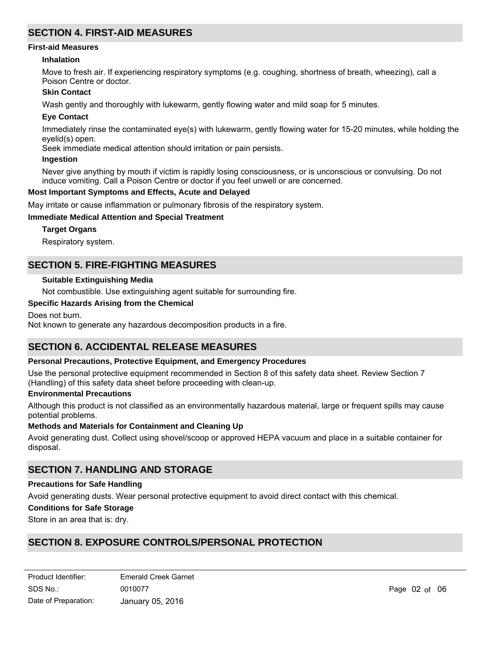### **SECTION 4. FIRST-AID MEASURES**

#### **First-aid Measures**

#### **Inhalation**

Move to fresh air. If experiencing respiratory symptoms (e.g. coughing, shortness of breath, wheezing), call a Poison Centre or doctor.

#### **Skin Contact**

Wash gently and thoroughly with lukewarm, gently flowing water and mild soap for 5 minutes.

#### **Eye Contact**

Immediately rinse the contaminated eye(s) with lukewarm, gently flowing water for 15-20 minutes, while holding the eyelid(s) open.

Seek immediate medical attention should irritation or pain persists.

#### **Ingestion**

Never give anything by mouth if victim is rapidly losing consciousness, or is unconscious or convulsing. Do not induce vomiting. Call a Poison Centre or doctor if you feel unwell or are concerned.

#### **Most Important Symptoms and Effects, Acute and Delayed**

May irritate or cause inflammation or pulmonary fibrosis of the respiratory system.

#### **Immediate Medical Attention and Special Treatment**

#### **Target Organs**

Respiratory system.

### **SECTION 5. FIRE-FIGHTING MEASURES**

#### **Suitable Extinguishing Media**

Not combustible. Use extinguishing agent suitable for surrounding fire.

#### **Specific Hazards Arising from the Chemical**

Does not burn. Not known to generate any hazardous decomposition products in a fire.

# **SECTION 6. ACCIDENTAL RELEASE MEASURES**

#### **Personal Precautions, Protective Equipment, and Emergency Procedures**

Use the personal protective equipment recommended in Section 8 of this safety data sheet. Review Section 7 (Handling) of this safety data sheet before proceeding with clean-up.

#### **Environmental Precautions**

Although this product is not classified as an environmentally hazardous material, large or frequent spills may cause potential problems.

#### **Methods and Materials for Containment and Cleaning Up**

Avoid generating dust. Collect using shovel/scoop or approved HEPA vacuum and place in a suitable container for disposal.

### **SECTION 7. HANDLING AND STORAGE**

#### **Precautions for Safe Handling**

Avoid generating dusts. Wear personal protective equipment to avoid direct contact with this chemical.

#### **Conditions for Safe Storage**

Store in an area that is: dry.

# **SECTION 8. EXPOSURE CONTROLS/PERSONAL PROTECTION**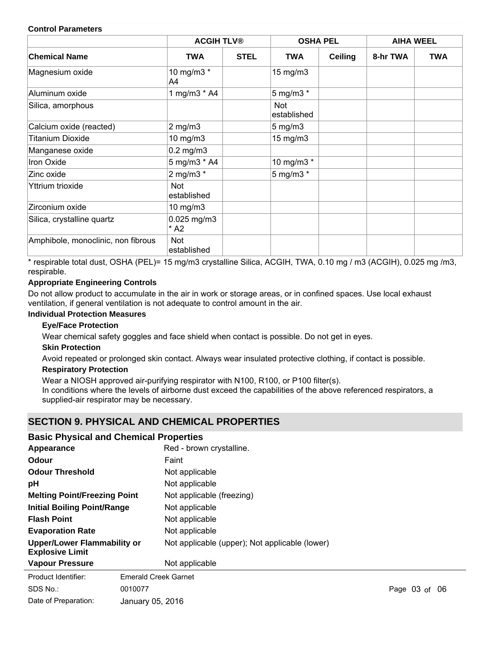#### **Control Parameters**

|                                    | <b>ACGIH TLV®</b>          |             | <b>OSHA PEL</b>           |                | <b>AIHA WEEL</b> |            |
|------------------------------------|----------------------------|-------------|---------------------------|----------------|------------------|------------|
| <b>Chemical Name</b>               | <b>TWA</b>                 | <b>STEL</b> | <b>TWA</b>                | <b>Ceiling</b> | 8-hr TWA         | <b>TWA</b> |
| Magnesium oxide                    | 10 mg/m3 *<br>A4           |             | $15 \text{ mg/m}$         |                |                  |            |
| Aluminum oxide                     | 1 mg/m3 * A4               |             | 5 mg/m3 *                 |                |                  |            |
| Silica, amorphous                  |                            |             | <b>Not</b><br>established |                |                  |            |
| Calcium oxide (reacted)            | $2$ mg/m $3$               |             | $5 \text{ mg/m}$ 3        |                |                  |            |
| <b>Titanium Dioxide</b>            | 10 mg/m3                   |             | $15 \text{ mg/m}$         |                |                  |            |
| Manganese oxide                    | $0.2$ mg/m $3$             |             |                           |                |                  |            |
| Iron Oxide                         | 5 mg/m3 * A4               |             | 10 mg/m3 *                |                |                  |            |
| Zinc oxide                         | 2 mg/m3 $*$                |             | 5 mg/m3 $*$               |                |                  |            |
| Yttrium trioxide                   | Not<br>established         |             |                           |                |                  |            |
| Zirconium oxide                    | 10 mg/m3                   |             |                           |                |                  |            |
| Silica, crystalline quartz         | $0.025$ mg/m $3$<br>$*$ A2 |             |                           |                |                  |            |
| Amphibole, monoclinic, non fibrous | Not<br>established         |             |                           |                |                  |            |

\* respirable total dust, OSHA (PEL)= 15 mg/m3 crystalline Silica, ACGIH, TWA, 0.10 mg / m3 (ACGIH), 0.025 mg /m3, respirable.

### **Appropriate Engineering Controls**

Do not allow product to accumulate in the air in work or storage areas, or in confined spaces. Use local exhaust ventilation, if general ventilation is not adequate to control amount in the air.

#### **Individual Protection Measures**

#### **Eye/Face Protection**

Wear chemical safety goggles and face shield when contact is possible. Do not get in eyes.

### **Skin Protection**

SDS No.:

Avoid repeated or prolonged skin contact. Always wear insulated protective clothing, if contact is possible.

### **Respiratory Protection**

Wear a NIOSH approved air-purifying respirator with N100, R100, or P100 filter(s). In conditions where the levels of airborne dust exceed the capabilities of the above referenced respirators, a supplied-air respirator may be necessary.

# **SECTION 9. PHYSICAL AND CHEMICAL PROPERTIES**

#### **Basic Physical and Chemical Properties**

| Appearance                                                   |                             | Red - brown crystalline.                       |
|--------------------------------------------------------------|-----------------------------|------------------------------------------------|
| Odour                                                        |                             | Faint                                          |
| <b>Odour Threshold</b>                                       |                             | Not applicable                                 |
| рH                                                           |                             | Not applicable                                 |
| <b>Melting Point/Freezing Point</b>                          |                             | Not applicable (freezing)                      |
| <b>Initial Boiling Point/Range</b>                           |                             | Not applicable                                 |
| <b>Flash Point</b>                                           |                             | Not applicable                                 |
| <b>Evaporation Rate</b>                                      |                             | Not applicable                                 |
| <b>Upper/Lower Flammability or</b><br><b>Explosive Limit</b> |                             | Not applicable (upper); Not applicable (lower) |
| <b>Vapour Pressure</b>                                       |                             | Not applicable                                 |
| Product Identifier:                                          | <b>Emerald Creek Garnet</b> |                                                |

Date of Preparation: 0010077 Page 03 of 06 January 05, 2016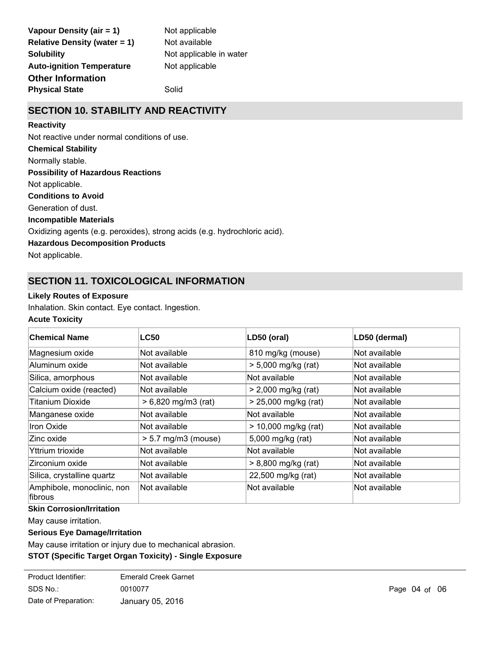| Vapour Density (air = 1)            | Not a |
|-------------------------------------|-------|
| <b>Relative Density (water = 1)</b> | Not a |
| <b>Solubility</b>                   | Not a |
| <b>Auto-ignition Temperature</b>    | Not a |
| <b>Other Information</b>            |       |
| <b>Physical State</b>               | Solid |

applicable available applicable in water applicable

# **SECTION 10. STABILITY AND REACTIVITY**

#### **Reactivity**

Not reactive under normal conditions of use.

### **Chemical Stability**

Normally stable.

### **Possibility of Hazardous Reactions**

Not applicable.

### **Conditions to Avoid**

Generation of dust.

### **Incompatible Materials**

Oxidizing agents (e.g. peroxides), strong acids (e.g. hydrochloric acid).

### **Hazardous Decomposition Products**

Not applicable.

# **SECTION 11. TOXICOLOGICAL INFORMATION**

### **Likely Routes of Exposure**

Inhalation. Skin contact. Eye contact. Ingestion.

### **Acute Toxicity**

| <b>Chemical Name</b>                  | <b>LC50</b>           | LD50 (oral)            | LD50 (dermal) |
|---------------------------------------|-----------------------|------------------------|---------------|
|                                       |                       |                        |               |
| Magnesium oxide                       | Not available         | 810 mg/kg (mouse)      | Not available |
| Aluminum oxide                        | Not available         | $> 5,000$ mg/kg (rat)  | Not available |
| Silica, amorphous                     | Not available         | Not available          | Not available |
| Calcium oxide (reacted)               | Not available         | $> 2,000$ mg/kg (rat)  | Not available |
| <b>Titanium Dioxide</b>               | $> 6,820$ mg/m3 (rat) | > 25,000 mg/kg (rat)   | Not available |
| Manganese oxide                       | Not available         | Not available          | Not available |
| Iron Oxide                            | Not available         | $> 10,000$ mg/kg (rat) | Not available |
| Zinc oxide                            | $> 5.7$ mg/m3 (mouse) | 5,000 mg/kg (rat)      | Not available |
| Yttrium trioxide                      | Not available         | Not available          | Not available |
| Zirconium oxide                       | Not available         | $> 8,800$ mg/kg (rat)  | Not available |
| Silica, crystalline quartz            | Not available         | 22,500 mg/kg (rat)     | Not available |
| Amphibole, monoclinic, non<br>fibrous | Not available         | Not available          | Not available |

### **Skin Corrosion/Irritation**

May cause irritation.

### **Serious Eye Damage/Irritation**

May cause irritation or injury due to mechanical abrasion.

### **STOT (Specific Target Organ Toxicity) - Single Exposure**

| Product Identifier:  | <b>Emerald Creek Garnet</b> |
|----------------------|-----------------------------|
| SDS No.:             | 0010077                     |
| Date of Preparation: | January 05, 2016            |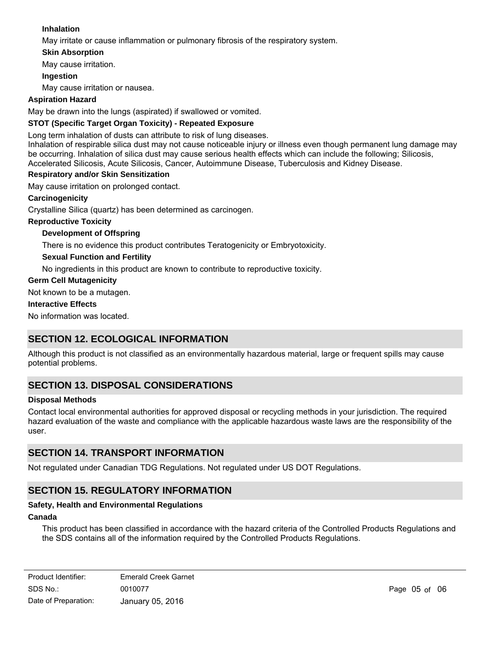### **Inhalation**

May irritate or cause inflammation or pulmonary fibrosis of the respiratory system.

### **Skin Absorption**

May cause irritation.

### **Ingestion**

May cause irritation or nausea.

### **Aspiration Hazard**

May be drawn into the lungs (aspirated) if swallowed or vomited.

### **STOT (Specific Target Organ Toxicity) - Repeated Exposure**

Long term inhalation of dusts can attribute to risk of lung diseases.

Inhalation of respirable silica dust may not cause noticeable injury or illness even though permanent lung damage may be occurring. Inhalation of silica dust may cause serious health effects which can include the following; Silicosis, Accelerated Silicosis, Acute Silicosis, Cancer, Autoimmune Disease, Tuberculosis and Kidney Disease.

### **Respiratory and/or Skin Sensitization**

May cause irritation on prolonged contact.

### **Carcinogenicity**

Crystalline Silica (quartz) has been determined as carcinogen.

### **Reproductive Toxicity**

### **Development of Offspring**

There is no evidence this product contributes Teratogenicity or Embryotoxicity.

### **Sexual Function and Fertility**

No ingredients in this product are known to contribute to reproductive toxicity.

### **Germ Cell Mutagenicity**

Not known to be a mutagen.

#### **Interactive Effects**

No information was located.

## **SECTION 12. ECOLOGICAL INFORMATION**

Although this product is not classified as an environmentally hazardous material, large or frequent spills may cause potential problems.

# **SECTION 13. DISPOSAL CONSIDERATIONS**

### **Disposal Methods**

Contact local environmental authorities for approved disposal or recycling methods in your jurisdiction. The required hazard evaluation of the waste and compliance with the applicable hazardous waste laws are the responsibility of the user.

### **SECTION 14. TRANSPORT INFORMATION**

Not regulated under Canadian TDG Regulations. Not regulated under US DOT Regulations.

# **SECTION 15. REGULATORY INFORMATION**

### **Safety, Health and Environmental Regulations**

### **Canada**

This product has been classified in accordance with the hazard criteria of the Controlled Products Regulations and the SDS contains all of the information required by the Controlled Products Regulations.